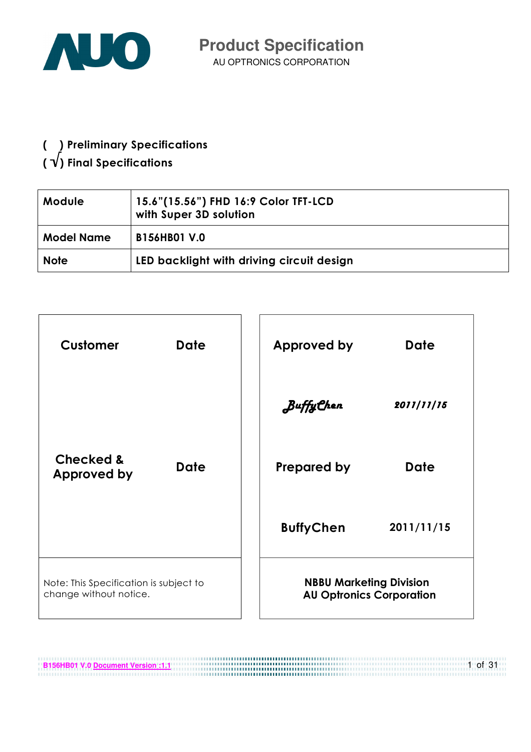

( ) Preliminary Specifications

# (  $\sqrt{ }$ ) Final Specifications

| 15.6"(15.56") FHD 16:9 Color TFT-LCD<br><b>Module</b><br>with Super 3D solution |                                           |
|---------------------------------------------------------------------------------|-------------------------------------------|
| <b>Model Name</b>                                                               | <b>B156HB01 V.0</b>                       |
| <b>Note</b>                                                                     | LED backlight with driving circuit design |



**B156HB01 V.0 <u>Document Version :1.1</u>** 1 of 31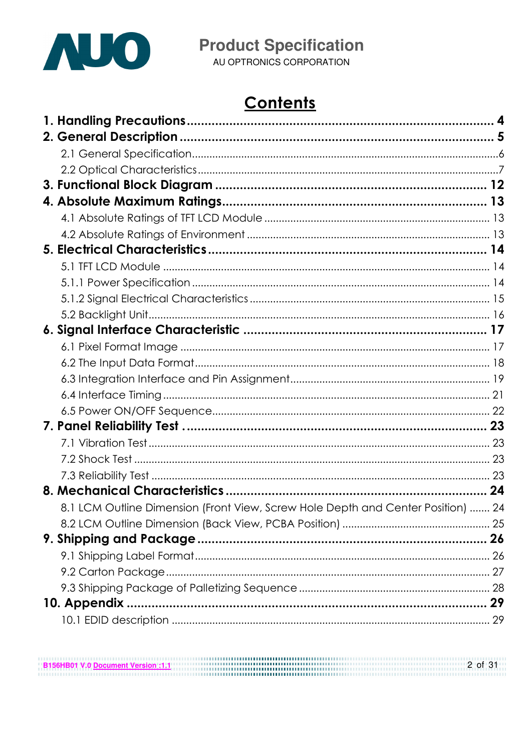

AU OPTRONICS CORPORATION

# **Contents**

| 8.1 LCM Outline Dimension (Front View, Screw Hole Depth and Center Position)  24 |  |
|----------------------------------------------------------------------------------|--|
|                                                                                  |  |
|                                                                                  |  |
|                                                                                  |  |
|                                                                                  |  |
|                                                                                  |  |
| 10. Appendix.                                                                    |  |
|                                                                                  |  |

**B156HB01 V.0 <u>Document Version :1.1</u>** 2 of 31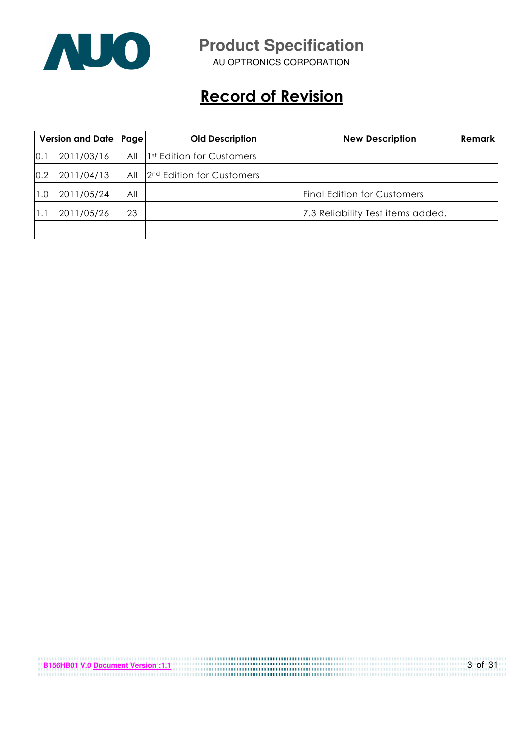

AU OPTRONICS CORPORATION

# Record of Revision

| Version and Date   Page |            | <b>Old Description</b> |                                       | <b>New Description</b>             | Remark |
|-------------------------|------------|------------------------|---------------------------------------|------------------------------------|--------|
| 0.1                     | 2011/03/16 | All                    | 1 <sup>st</sup> Edition for Customers |                                    |        |
| 0.2                     | 2011/04/13 | All                    | 2 <sup>nd</sup> Edition for Customers |                                    |        |
| 1.0                     | 2011/05/24 | All                    |                                       | <b>Final Edition for Customers</b> |        |
|                         | 2011/05/26 | 23                     |                                       | 7.3 Reliability Test items added.  |        |
|                         |            |                        |                                       |                                    |        |

| B156HB01 V.0 Document Version :1.1 | 3 of 31 |
|------------------------------------|---------|
|                                    |         |
|                                    |         |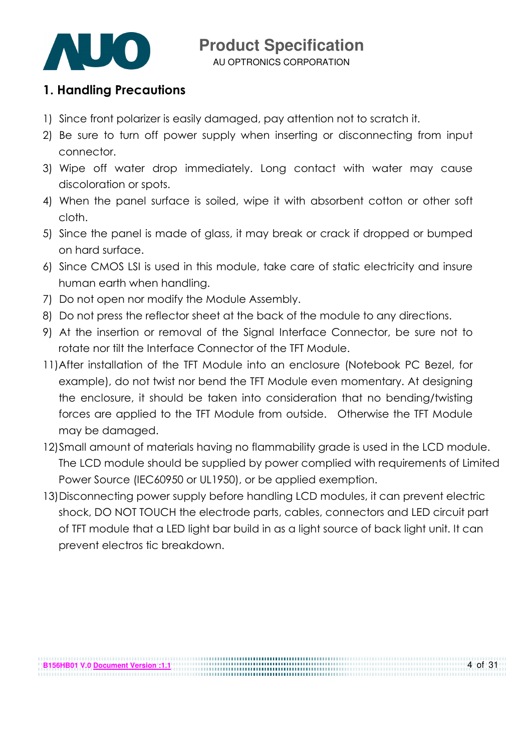

AU OPTRONICS CORPORATION

#### 1. Handling Precautions

- 1) Since front polarizer is easily damaged, pay attention not to scratch it.
- 2) Be sure to turn off power supply when inserting or disconnecting from input connector.
- 3) Wipe off water drop immediately. Long contact with water may cause discoloration or spots.
- 4) When the panel surface is soiled, wipe it with absorbent cotton or other soft cloth.
- 5) Since the panel is made of glass, it may break or crack if dropped or bumped on hard surface.
- 6) Since CMOS LSI is used in this module, take care of static electricity and insure human earth when handling.
- 7) Do not open nor modify the Module Assembly.
- 8) Do not press the reflector sheet at the back of the module to any directions.
- 9) At the insertion or removal of the Signal Interface Connector, be sure not to rotate nor tilt the Interface Connector of the TFT Module.
- 11) After installation of the TFT Module into an enclosure (Notebook PC Bezel, for example), do not twist nor bend the TFT Module even momentary. At designing the enclosure, it should be taken into consideration that no bending/twisting forces are applied to the TFT Module from outside. Otherwise the TFT Module may be damaged.
- 12)Small amount of materials having no flammability grade is used in the LCD module. The LCD module should be supplied by power complied with requirements of Limited Power Source (IEC60950 or UL1950), or be applied exemption.
- 13)Disconnecting power supply before handling LCD modules, it can prevent electric shock, DO NOT TOUCH the electrode parts, cables, connectors and LED circuit part of TFT module that a LED light bar build in as a light source of back light unit. It can prevent electros tic breakdown.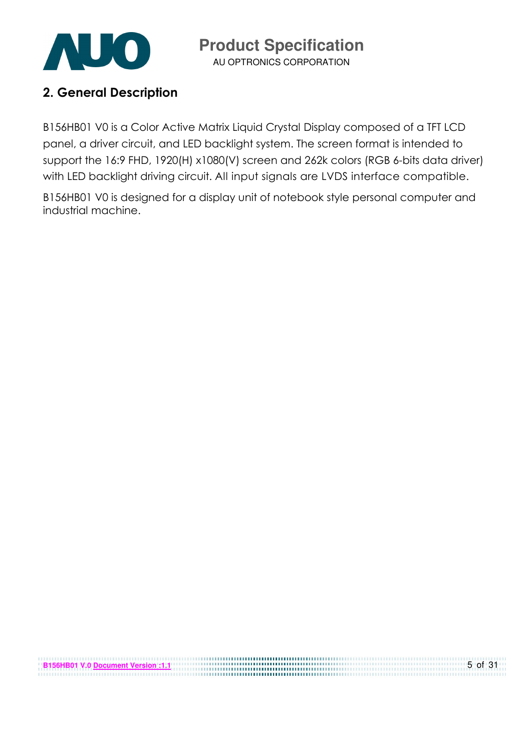

AU OPTRONICS CORPORATION

### 2. General Description

B156HB01 V0 is a Color Active Matrix Liquid Crystal Display composed of a TFT LCD panel, a driver circuit, and LED backlight system. The screen format is intended to support the 16:9 FHD, 1920(H) x1080(V) screen and 262k colors (RGB 6-bits data driver) with LED backlight driving circuit. All input signals are LVDS interface compatible.

B156HB01 V0 is designed for a display unit of notebook style personal computer and industrial machine.

| <b>B156HB01 V.0 Document Version:1.1</b> | $5$ of 31 |
|------------------------------------------|-----------|
|                                          |           |
|                                          |           |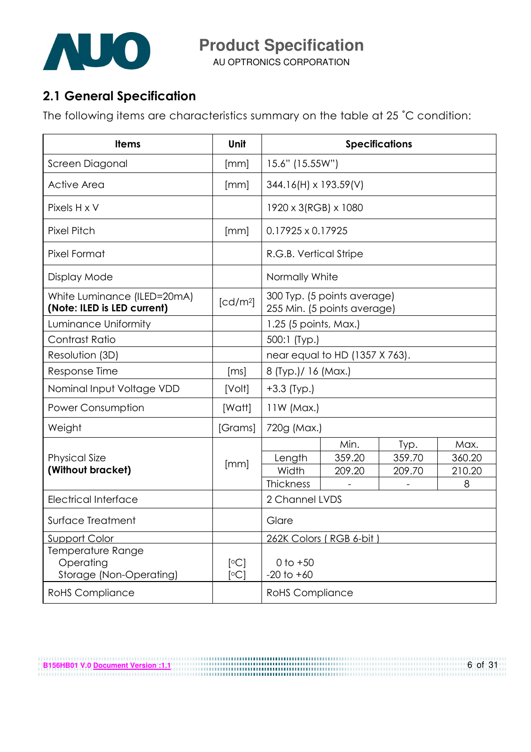

AU OPTRONICS CORPORATION

## 2.1 General Specification

The following items are characteristics summary on the table at 25 ˚C condition:

| <b>Items</b>                                               | Unit                 | <b>Specifications</b>        |                                                            |        |        |  |  |
|------------------------------------------------------------|----------------------|------------------------------|------------------------------------------------------------|--------|--------|--|--|
| Screen Diagonal                                            | [mm]                 | 15.6" (15.55W")              |                                                            |        |        |  |  |
| <b>Active Area</b>                                         | [mm]                 | $344.16(H) \times 193.59(V)$ |                                                            |        |        |  |  |
| Pixels H x V                                               |                      | 1920 x 3(RGB) x 1080         |                                                            |        |        |  |  |
| <b>Pixel Pitch</b>                                         | [mm]                 | $0.17925 \times 0.17925$     |                                                            |        |        |  |  |
| Pixel Format                                               |                      | R.G.B. Vertical Stripe       |                                                            |        |        |  |  |
| Display Mode                                               |                      | Normally White               |                                                            |        |        |  |  |
| White Luminance (ILED=20mA)<br>(Note: ILED is LED current) | [cd/m <sup>2</sup> ] |                              | 300 Typ. (5 points average)<br>255 Min. (5 points average) |        |        |  |  |
| Luminance Uniformity                                       |                      | 1.25 (5 points, Max.)        |                                                            |        |        |  |  |
| Contrast Ratio                                             |                      | 500:1 (Typ.)                 |                                                            |        |        |  |  |
| Resolution (3D)                                            |                      |                              | near equal to HD (1357 X 763).                             |        |        |  |  |
| Response Time                                              | [ms]                 | 8 (Typ.)/ 16 (Max.)          |                                                            |        |        |  |  |
| Nominal Input Voltage VDD                                  | [Volt]               | $+3.3$ (Typ.)                |                                                            |        |        |  |  |
| <b>Power Consumption</b>                                   | [Watt]               | $11W$ (Max.)                 |                                                            |        |        |  |  |
| Weight                                                     | [Grams]              | 720g (Max.)                  |                                                            |        |        |  |  |
|                                                            |                      |                              | Min.                                                       | Typ.   | Max.   |  |  |
| <b>Physical Size</b>                                       | [mm]                 | Length                       | 359.20                                                     | 359.70 | 360.20 |  |  |
| (Without bracket)                                          |                      | Width                        | 209.20                                                     | 209.70 | 210.20 |  |  |
|                                                            |                      | Thickness                    |                                                            |        | 8      |  |  |
| <b>Electrical Interface</b>                                |                      | 2 Channel LVDS               |                                                            |        |        |  |  |
| Surface Treatment                                          |                      | Glare                        |                                                            |        |        |  |  |
| <u>Support Color</u>                                       |                      |                              | 262K Colors (RGB 6-bit)                                    |        |        |  |  |
| Temperature Range                                          |                      |                              |                                                            |        |        |  |  |
| Operating                                                  | [°C]                 | $0$ to $+50$                 |                                                            |        |        |  |  |
| Storage (Non-Operating)                                    | [°C]                 | $-20$ to $+60$               |                                                            |        |        |  |  |
| <b>RoHS Compliance</b>                                     |                      | <b>RoHS Compliance</b>       |                                                            |        |        |  |  |

**B156HB01 V.0 <u>Document Version :1.1</u>** 6 of 31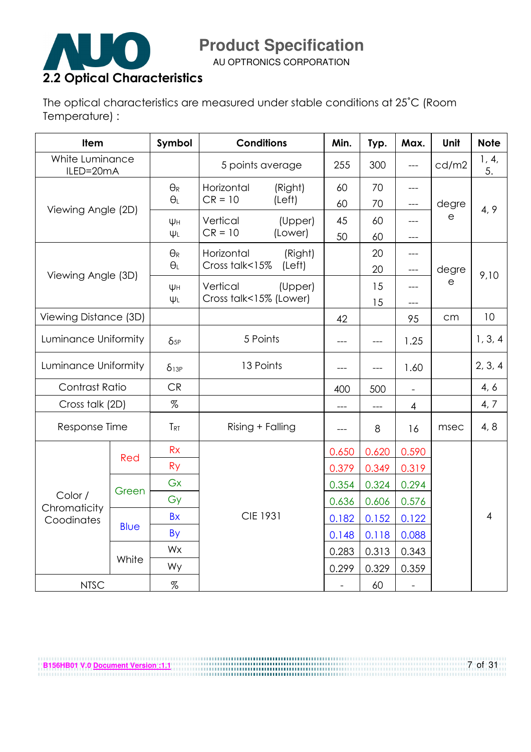

AU OPTRONICS CORPORATION

The optical characteristics are measured under stable conditions at 25˚C (Room Temperature) :

| <b>Item</b>                  |             | Symbol                | <b>Conditions</b>      |         | Min.  | Typ.  | Max.                     | Unit         | <b>Note</b>    |
|------------------------------|-------------|-----------------------|------------------------|---------|-------|-------|--------------------------|--------------|----------------|
| White Luminance<br>ILED=20mA |             |                       | 5 points average       |         | 255   | 300   | $---$                    | cd/m2        | 1, 4,<br>5.    |
|                              |             | $\Theta_{\mathsf{R}}$ | Horizontal             | (Right) | 60    | 70    | ---                      |              |                |
| Viewing Angle (2D)           |             | $\Theta_L$            | $CR = 10$              | (Left)  | 60    | 70    | ---                      | degre        | 4, 9           |
|                              |             | ΨH                    | Vertical               | (Upper) | 45    | 60    | ---                      | $\mathsf{e}$ |                |
|                              |             | ΨL                    | $CR = 10$              | (Lower) | 50    | 60    | ---                      |              |                |
|                              |             | $\Theta_{R}$          | Horizontal             | (Right) |       | 20    | ---                      |              |                |
| Viewing Angle (3D)           |             | $\Theta_L$            | Cross talk<15%         | (Left)  |       | 20    | $---$                    | degre        | 9,10           |
|                              |             | ΨH                    | Vertical               | (Upper) |       | 15    | ---                      | e            |                |
|                              |             | $\Psi L$              | Cross talk<15% (Lower) |         |       | 15    | ---                      |              |                |
| Viewing Distance (3D)        |             |                       |                        |         | 42    |       | 95                       | cm           | 10             |
| Luminance Uniformity         |             | $\delta_{5P}$         | 5 Points               |         | ---   | $---$ | 1.25                     |              | 1, 3, 4        |
| Luminance Uniformity         |             | $\delta$ 13P          | 13 Points              |         | ---   | $---$ | 1.60                     |              | 2, 3, 4        |
| Contrast Ratio               |             | <b>CR</b>             |                        |         | 400   | 500   | $\overline{a}$           |              | 4, 6           |
| Cross talk (2D)              |             | %                     |                        |         | ---   |       | $\overline{4}$           |              | 4, 7           |
| Response Time                |             | <b>TRT</b>            | Rising + Falling       |         | $---$ | 8     | 16                       | msec         | 4, 8           |
|                              |             | <b>Rx</b>             |                        |         | 0.650 | 0.620 | 0.590                    |              |                |
|                              | Red         | <b>Ry</b>             |                        |         | 0.379 | 0.349 | 0.319                    |              |                |
|                              |             | Gx                    |                        |         | 0.354 | 0.324 | 0.294                    |              |                |
| Color /                      | Green       | Gy                    |                        |         | 0.636 | 0.606 | 0.576                    |              |                |
| Chromaticity<br>Coodinates   |             | <b>Bx</b>             | <b>CIE 1931</b>        |         | 0.182 | 0.152 | 0.122                    |              | $\overline{4}$ |
|                              | <b>Blue</b> | By                    |                        |         | 0.148 | 0.118 | 0.088                    |              |                |
|                              |             | Wx                    |                        |         | 0.283 | 0.313 | 0.343                    |              |                |
|                              | White       | Wy                    |                        |         | 0.299 | 0.329 | 0.359                    |              |                |
| <b>NTSC</b>                  |             | %                     |                        |         |       | 60    | $\overline{\phantom{a}}$ |              |                |

**B156HB01 V.0 <u>Document Version :1.1</u>** 7 of 31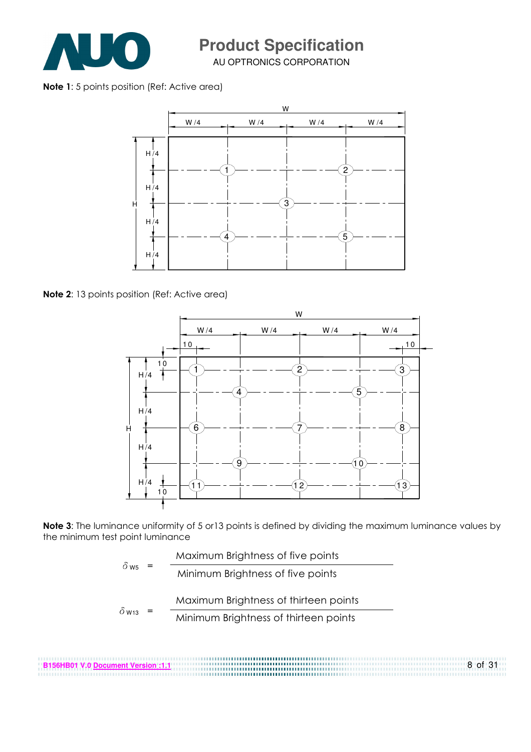

AU OPTRONICS CORPORATION

Note 1: 5 points position (Ref: Active area)



Note 2: 13 points position (Ref: Active area)



Note 3: The luminance uniformity of 5 or13 points is defined by dividing the maximum luminance values by the minimum test point luminance

| $\delta$ ws  | Maximum Brightness of five points     |
|--------------|---------------------------------------|
|              | Minimum Brightness of five points     |
|              | Maximum Brightness of thirteen points |
| $\delta$ W13 | Minimum Brightness of thirteen points |
|              |                                       |

**B156HB01 V.0 Document Version :1.1** 8 of 31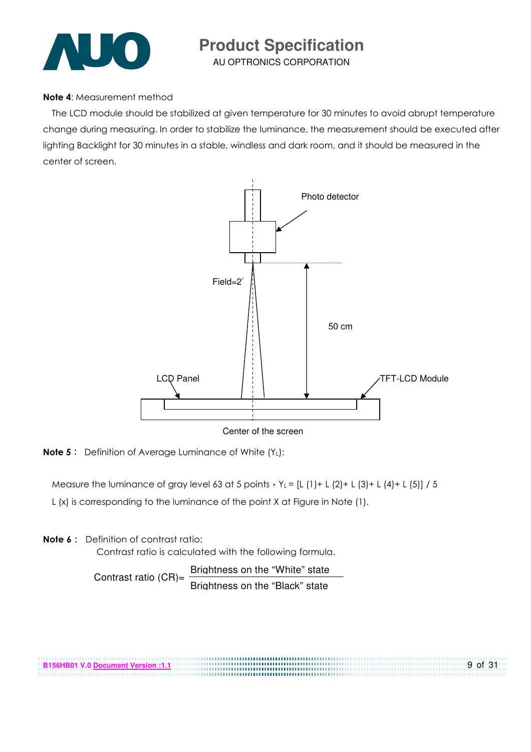

AU OPTRONICS CORPORATION

#### Note 4: Measurement method

The LCD module should be stabilized at given temperature for 30 minutes to avoid abrupt temperature change during measuring. In order to stabilize the luminance, the measurement should be executed after lighting Backlight for 30 minutes in a stable, windless and dark room, and it should be measured in the center of screen.



**Note 5:** Definition of Average Luminance of White  $(Y_L)$ :

Measure the luminance of gray level 63 at 5 points  $Y_L = [L (1) + L (2) + L (3) + L (4) + L (5)] / 5$ L (x) is corresponding to the luminance of the point X at Figure in Note (1).

**Note**  $6:$  Definition of contrast ratio:

Contrast ratio is calculated with the following formula.

Contrast ratio  $(CR)$ =  $\frac{\text{Brichtness on the "White" state}}{\text{Brich} \cdot \text{Brich} \cdot \text{Brich} \cdot \text{Brich} \cdot \text{Brich} \cdot \text{Brich} \cdot \text{Brich} \cdot \text{Brich} \cdot \text{Brich} \cdot \text{Brich} \cdot \text{Brich} \cdot \text{Brich} \cdot \text{Brich} \cdot \text{Brich} \cdot \text{Brich} \cdot \text{Brich} \cdot \text{Brich} \cdot \text{Brich} \cdot \text{Brich} \cdot \text{Brich} \cdot \text{Brich} \cdot \text{Brich} \cdot \text{Brich}$ Brightness on the "Black" state

**B156HB01 V.0 Document Version :1.1** 9 of 31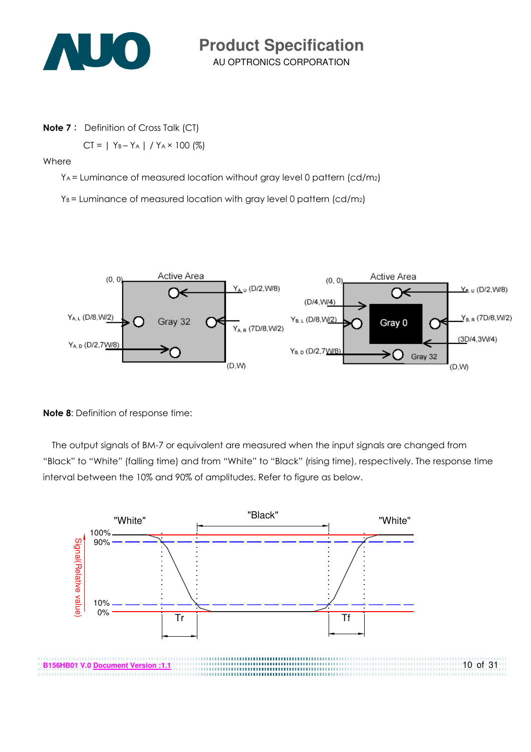

AU OPTRONICS CORPORATION **Product Specification** 

**Note 7:** Definition of Cross Talk (CT)

 $CT = | Y_B - Y_A | / Y_A \times 100 (%)$ 

Where

YA = Luminance of measured location without gray level 0 pattern (cd/m2)

 $Y_B$  = Luminance of measured location with gray level 0 pattern (cd/m2)



Note 8: Definition of response time:

The output signals of BM-7 or equivalent are measured when the input signals are changed from "Black" to "White" (falling time) and from "White" to "Black" (rising time), respectively. The response time interval between the 10% and 90% of amplitudes. Refer to figure as below.

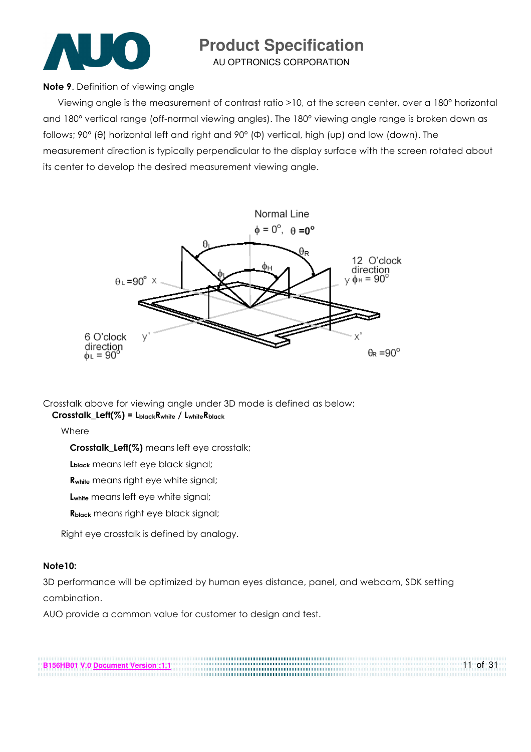

AU OPTRONICS CORPORATION

Note 9. Definition of viewing angle

Viewing angle is the measurement of contrast ratio >10, at the screen center, over a 180° horizontal and 180° vertical range (off-normal viewing angles). The 180° viewing angle range is broken down as follows; 90° (θ) horizontal left and right and 90° (Φ) vertical, high (up) and low (down). The measurement direction is typically perpendicular to the display surface with the screen rotated about its center to develop the desired measurement viewing angle.



Crosstalk above for viewing angle under 3D mode is defined as below: Crosstalk\_Left(%) = LblackRwhite / LwhiteRblack

Where

Crosstalk Left(%) means left eye crosstalk;

Lblack means left eye black signal;

Rwhite means right eye white signal;

Lwhite means left eye white signal;

Rblack means right eye black signal;

Right eye crosstalk is defined by analogy.

#### Note10:

3D performance will be optimized by human eyes distance, panel, and webcam, SDK setting combination.

AUO provide a common value for customer to design and test.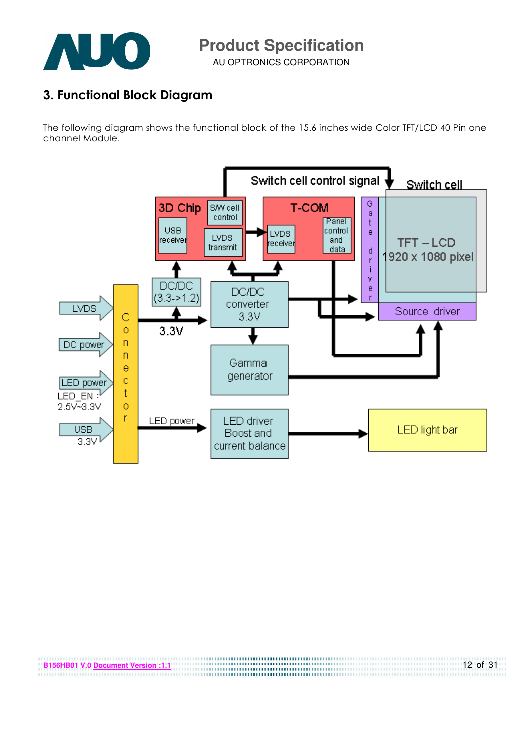

3. Functional Block Diagram

The following diagram shows the functional block of the 15.6 inches wide Color TFT/LCD 40 Pin one channel Module.



| ⊕B156HB01 V.0 Document Version :1.1 | 12 of 31 |
|-------------------------------------|----------|
|                                     |          |
|                                     |          |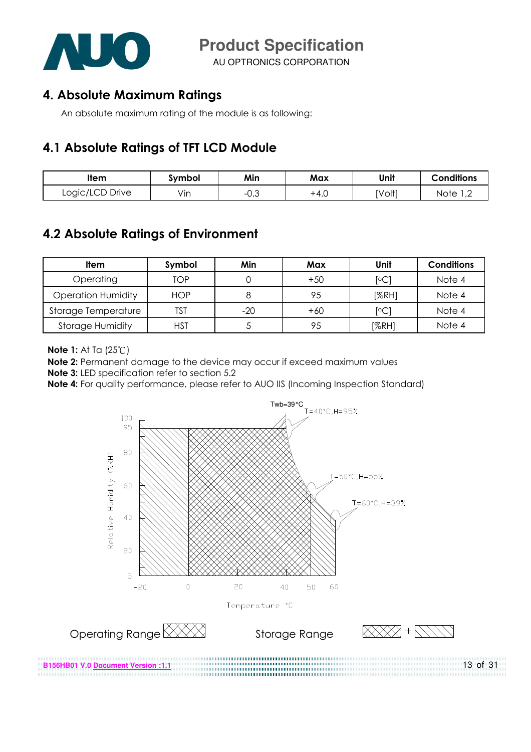

AU OPTRONICS CORPORATION

#### 4. Absolute Maximum Ratings

An absolute maximum rating of the module is as following:

#### 4.1 Absolute Ratings of TFT LCD Module

| ltem            | Svmbol | Min             | Max  | Unit   | <b>Conditions</b>  |
|-----------------|--------|-----------------|------|--------|--------------------|
| Logic/LCD Drive | Vin    | ົ<br>$-U. \cup$ | +4.∪ | [Volt] | Note<br><u>, z</u> |

### 4.2 Absolute Ratings of Environment

| Item                      | Symbol     | Min   | Max   | Unit                    | <b>Conditions</b> |
|---------------------------|------------|-------|-------|-------------------------|-------------------|
| Operating                 | TOP        |       | $+50$ | $\lceil \circ C \rceil$ | Note 4            |
| <b>Operation Humidity</b> | <b>HOP</b> |       | 95    | [%RH]                   | Note 4            |
| Storage Temperature       | TST        | $-20$ | $+60$ | $\rm ^{\circ}C$         | Note 4            |
| <b>Storage Humidity</b>   | HST        |       | 95    | [%RH]                   | Note 4            |

**Note 1:** At Ta (25°C)

Note 2: Permanent damage to the device may occur if exceed maximum values

Note 3: LED specification refer to section 5.2

Note 4: For quality performance, please refer to AUO IIS (Incoming Inspection Standard)

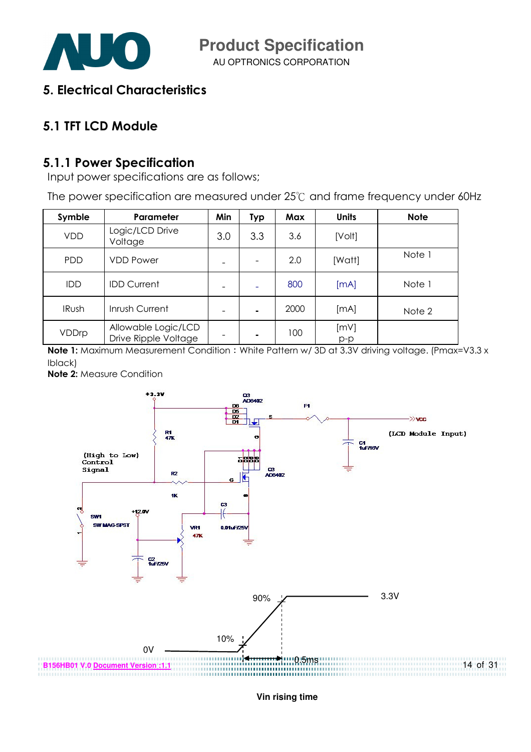

AU OPTRONICS CORPORATION

5. Electrical Characteristics

### 5.1 TFT LCD Module

#### 5.1.1 Power Specification

Input power specifications are as follows;

The power specification are measured under  $25^{\circ}$  and frame frequency under 60Hz

| Symble       | Parameter                                   | Min | <b>Typ</b>               | Max  | <b>Units</b> | <b>Note</b> |
|--------------|---------------------------------------------|-----|--------------------------|------|--------------|-------------|
| <b>VDD</b>   | Logic/LCD Drive<br>Voltage                  | 3.0 | 3.3                      | 3.6  | [Volt]       |             |
| <b>PDD</b>   | <b>VDD Power</b>                            |     | $\overline{\phantom{a}}$ | 2.0  | [Watt]       | Note 1      |
| <b>IDD</b>   | <b>IDD Current</b>                          |     |                          | 800  | [mA]         | Note 1      |
| <b>IRush</b> | Inrush Current                              |     | $\blacksquare$           | 2000 | [mA]         | Note 2      |
| VDDrp        | Allowable Logic/LCD<br>Drive Ripple Voltage |     | ٠                        | 100  | [mV]<br>p-p  |             |

Note 1: Maximum Measurement Condition : White Pattern w/ 3D at 3.3V driving voltage. (Pmax=V3.3 x Iblack)

Note 2: Measure Condition



**Vin rising time**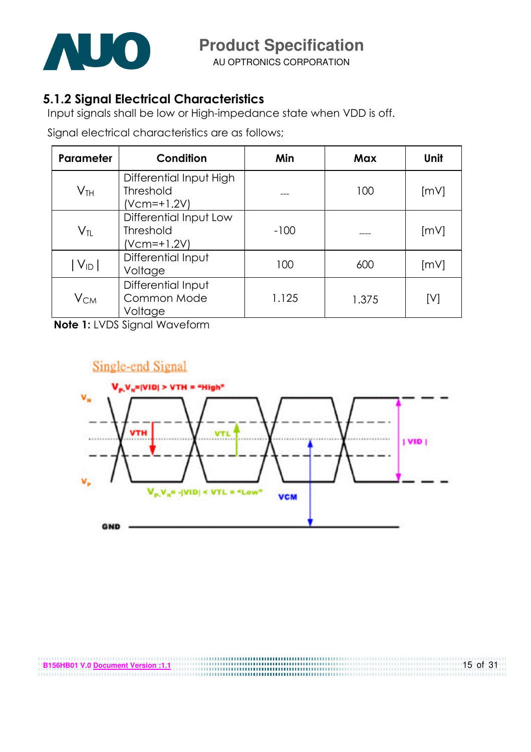

AU OPTRONICS CORPORATION

### 5.1.2 Signal Electrical Characteristics

Input signals shall be low or High-impedance state when VDD is off.

Signal electrical characteristics are as follows;

| Parameter                  | Condition                                                  | Min    | Max   | Unit |
|----------------------------|------------------------------------------------------------|--------|-------|------|
| $\mathsf{V}_{\mathsf{TH}}$ | Differential Input High<br><b>Threshold</b><br>(Vcm=+1.2V) |        | 100   | [mV] |
| $V_{TL}$                   | Differential Input Low<br>Threshold<br>(Vcm=+1.2V)         | $-100$ |       | [mV] |
| $ V_{ID} $                 | Differential Input<br>Voltage                              | 100    | 600   | [mV] |
| $V_{CM}$                   | Differential Input<br>Common Mode<br>Voltage               | 1.125  | 1.375 | [V]  |

Note 1: LVDS Signal Waveform

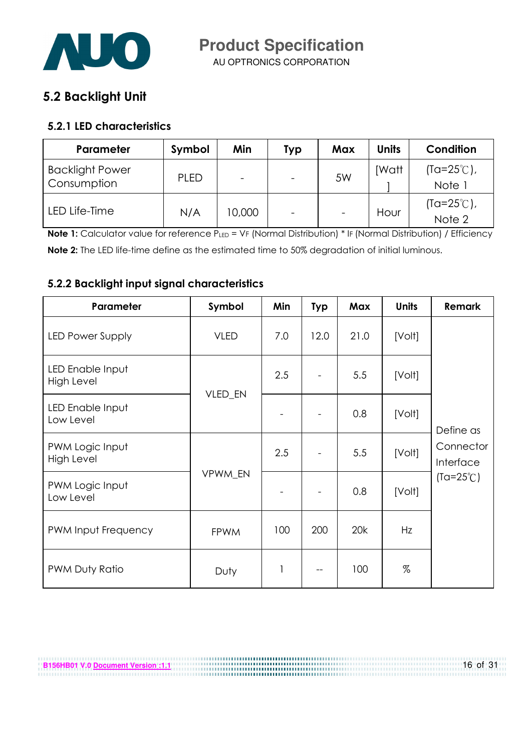

#### 5.2 Backlight Unit

#### 5.2.1 LED characteristics

| Parameter                             | Symbol | Min    | <b>Typ</b> | Max                      | <b>Units</b> | Condition                      |
|---------------------------------------|--------|--------|------------|--------------------------|--------------|--------------------------------|
| <b>Backlight Power</b><br>Consumption | PLED   |        |            | 5W                       | <b>IWatt</b> | $(Ta=25^{\circ}C)$ ,<br>Note 1 |
| LED Life-Time                         | N/A    | 10,000 |            | $\overline{\phantom{a}}$ | Hour         | $(Ta=25^{\circ}C)$ ,<br>Note 2 |

Note 1: Calculator value for reference PLED = VF (Normal Distribution) \* IF (Normal Distribution) / Efficiency Note 2: The LED life-time define as the estimated time to 50% degradation of initial luminous.

#### 5.2.2 Backlight input signal characteristics

| Parameter                      | Symbol      | Min | <b>Typ</b> | Max  | <b>Units</b> | <b>Remark</b>          |
|--------------------------------|-------------|-----|------------|------|--------------|------------------------|
| <b>LED Power Supply</b>        | <b>VLED</b> | 7.0 | 12.0       | 21.0 | [Volt]       |                        |
| LED Enable Input<br>High Level |             | 2.5 |            | 5.5  | [Volt]       |                        |
| LED Enable Input<br>Low Level  | VLED_EN     |     |            | 0.8  | [Volt]       | Define as              |
| PWM Logic Input<br>High Level  |             | 2.5 |            | 5.5  | [Volt]       | Connector<br>Interface |
| PWM Logic Input<br>Low Level   | VPWM_EN     |     |            | 0.8  | [Volt]       | $(Ta=25^{\circ}C)$     |
| PWM Input Frequency            | <b>FPWM</b> | 100 | 200        | 20k  | Hz           |                        |
| PWM Duty Ratio                 | Duty        | 1   |            | 100  | %            |                        |

**B156HB01 V.0 Document Version :1.1** 16 of 31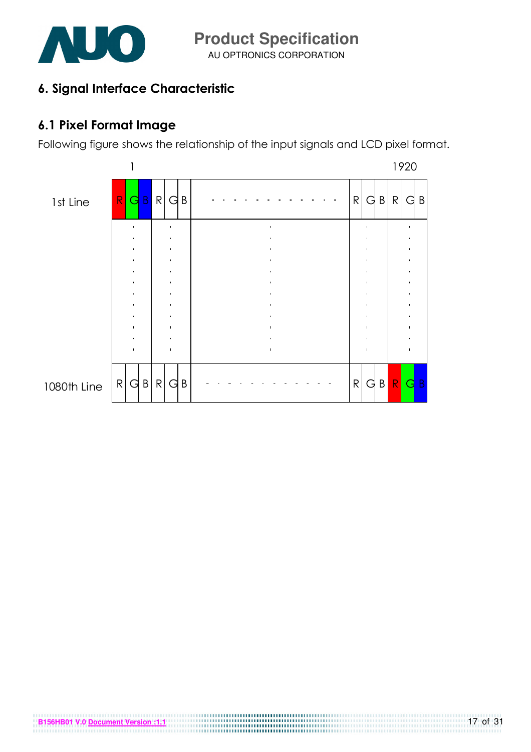

### 6. Signal Interface Characteristic

## 6.1 Pixel Format Image

Following figure shows the relationship of the input signals and LCD pixel format.

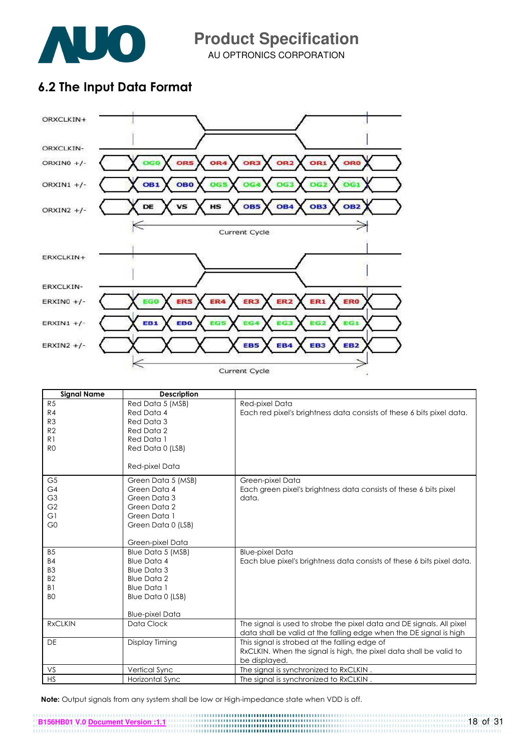

AU OPTRONICS CORPORATION **Product Specification** 

### 6.2 The Input Data Format



| <b>Signal Name</b> | <b>Description</b>     |                                                                                                                                             |
|--------------------|------------------------|---------------------------------------------------------------------------------------------------------------------------------------------|
| R5                 | Red Data 5 (MSB)       | Red-pixel Data                                                                                                                              |
| R4                 | Red Data 4             | Each red pixel's brightness data consists of these 6 bits pixel data.                                                                       |
| R <sub>3</sub>     | Red Data 3             |                                                                                                                                             |
| R <sub>2</sub>     | Red Data 2             |                                                                                                                                             |
| R <sub>1</sub>     | Red Data 1             |                                                                                                                                             |
| R <sub>0</sub>     | Red Data 0 (LSB)       |                                                                                                                                             |
|                    | Red-pixel Data         |                                                                                                                                             |
|                    |                        |                                                                                                                                             |
| G <sub>5</sub>     | Green Data 5 (MSB)     | Green-pixel Data                                                                                                                            |
| G4                 | Green Data 4           | Each green pixel's brightness data consists of these 6 bits pixel                                                                           |
| G <sub>3</sub>     | Green Data 3           | data.                                                                                                                                       |
| G <sub>2</sub>     | Green Data 2           |                                                                                                                                             |
| G1                 | Green Data 1           |                                                                                                                                             |
| G <sub>0</sub>     | Green Data 0 (LSB)     |                                                                                                                                             |
|                    |                        |                                                                                                                                             |
|                    | Green-pixel Data       |                                                                                                                                             |
| B <sub>5</sub>     | Blue Data 5 (MSB)      | <b>Blue-pixel Data</b>                                                                                                                      |
| <b>B4</b>          | <b>Blue Data 4</b>     | Each blue pixel's brightness data consists of these 6 bits pixel data.                                                                      |
| B <sub>3</sub>     | <b>Blue Data 3</b>     |                                                                                                                                             |
| B <sub>2</sub>     | <b>Blue Data 2</b>     |                                                                                                                                             |
| B <sub>1</sub>     | <b>Blue Data 1</b>     |                                                                                                                                             |
| B <sub>O</sub>     | Blue Data 0 (LSB)      |                                                                                                                                             |
|                    |                        |                                                                                                                                             |
|                    | <b>Blue-pixel Data</b> |                                                                                                                                             |
| <b>RxCLKIN</b>     | Data Clock             | The signal is used to strobe the pixel data and DE signals. All pixel<br>data shall be valid at the falling edge when the DE signal is high |
| <b>DE</b>          | Display Timing         | This signal is strobed at the falling edge of                                                                                               |
|                    |                        | RxCLKIN. When the signal is high, the pixel data shall be valid to                                                                          |
|                    |                        | be displayed.                                                                                                                               |
| VS                 | Vertical Sync          | The signal is synchronized to RxCLKIN.                                                                                                      |
| HS                 | Horizontal Sync        | The signal is synchronized to RxCLKIN.                                                                                                      |

Note: Output signals from any system shall be low or High-impedance state when VDD is off.

**B156HB01 V.0 Document Version :1.1** 18 of 31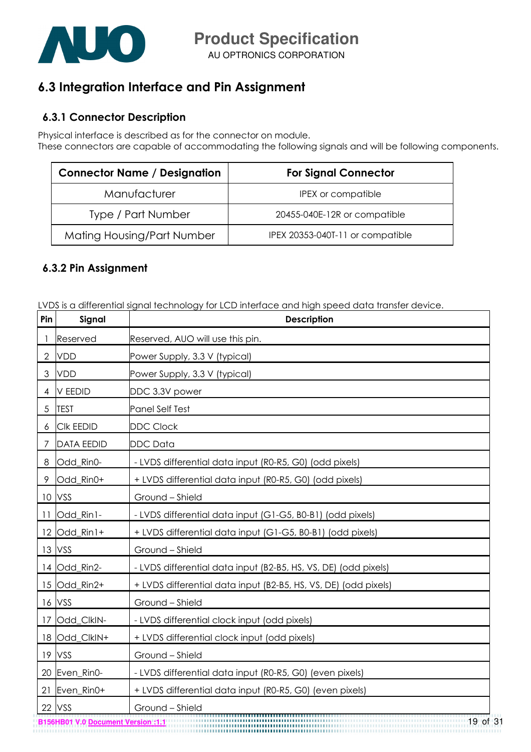

### 6.3 Integration Interface and Pin Assignment

#### 6.3.1 Connector Description

Physical interface is described as for the connector on module.

These connectors are capable of accommodating the following signals and will be following components.

| <b>Connector Name / Designation</b> | <b>For Signal Connector</b>      |
|-------------------------------------|----------------------------------|
| Manufacturer                        | <b>IPEX</b> or compatible        |
| Type / Part Number                  | 20455-040E-12R or compatible     |
| Mating Housing/Part Number          | IPEX 20353-040T-11 or compatible |

#### 6.3.2 Pin Assignment

LVDS is a differential signal technology for LCD interface and high speed data transfer device.

| Pin | Signal            | <b>Description</b>                                              |
|-----|-------------------|-----------------------------------------------------------------|
|     | Reserved          | Reserved, AUO will use this pin.                                |
| 2   | <b>VDD</b>        | Power Supply, 3.3 V (typical)                                   |
| 3   | <b>VDD</b>        | Power Supply, 3.3 V (typical)                                   |
| 4   | <b>V EEDID</b>    | DDC 3.3V power                                                  |
| 5   | <b>TEST</b>       | Panel Self Test                                                 |
| 6   | <b>CIK EEDID</b>  | <b>DDC Clock</b>                                                |
| 7   | <b>DATA EEDID</b> | <b>DDC</b> Data                                                 |
| 8   | Odd_Rin0-         | - LVDS differential data input (R0-R5, G0) (odd pixels)         |
| 9   | Odd_Rin0+         | + LVDS differential data input (R0-R5, G0) (odd pixels)         |
|     | 10 VSS            | Ground - Shield                                                 |
| 11  | Odd_Rin1-         | - LVDS differential data input (G1-G5, B0-B1) (odd pixels)      |
|     | 12 Odd_Rin1+      | + LVDS differential data input (G1-G5, B0-B1) (odd pixels)      |
|     | 13 VSS            | Ground - Shield                                                 |
|     | 14 Odd_Rin2-      | - LVDS differential data input (B2-B5, HS, VS, DE) (odd pixels) |
|     | 15 Odd_Rin2+      | + LVDS differential data input (B2-B5, HS, VS, DE) (odd pixels) |
| 16  | VSS               | Ground - Shield                                                 |
| 17  | Odd_ClkIN-        | - LVDS differential clock input (odd pixels)                    |
| 18  | Odd_ClkIN+        | + LVDS differential clock input (odd pixels)                    |
|     | 19 VSS            | Ground - Shield                                                 |
|     | 20 Even_Rin0-     | - LVDS differential data input (R0-R5, G0) (even pixels)        |
| 21  | Even_Rin0+        | + LVDS differential data input (R0-R5, G0) (even pixels)        |
| 22  | VSS               | Ground - Shield<br><del></del>                                  |

**B156HB01 V.0 Document Version :1.1** 19 of 31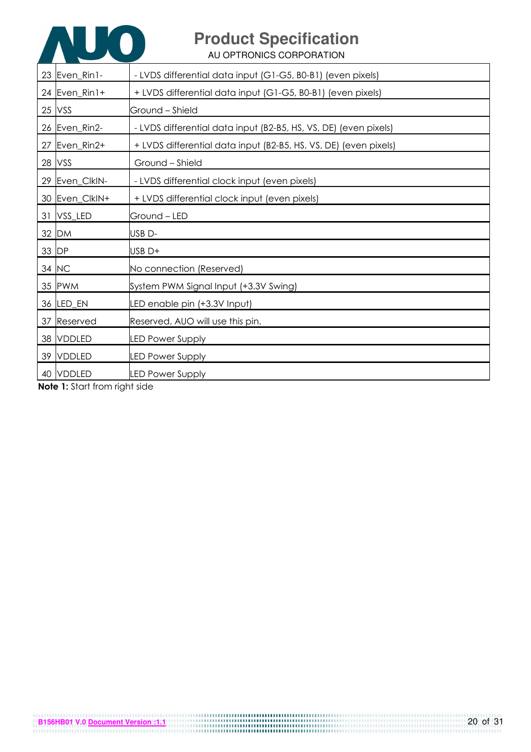

AU OPTRONICS CORPORATION

| 23 Even_Rin1-  | - LVDS differential data input (G1-G5, B0-B1) (even pixels)      |
|----------------|------------------------------------------------------------------|
| 24 Even_Rin1+  | + LVDS differential data input (G1-G5, B0-B1) (even pixels)      |
| 25 VSS         | Ground - Shield                                                  |
| 26 Even_Rin2-  | - LVDS differential data input (B2-B5, HS, VS, DE) (even pixels) |
| 27 Even_Rin2+  | + LVDS differential data input (B2-B5, HS, VS, DE) (even pixels) |
| 28 VSS         | Ground - Shield                                                  |
| 29 Even_CIkIN- | - LVDS differential clock input (even pixels)                    |
| 30 Even_CIkIN+ | + LVDS differential clock input (even pixels)                    |
| 31 VSS LED     | Ground – LED                                                     |
| 32 DM          | USB <sub>D</sub> -                                               |
| 33 DP          | USB <sub>D+</sub>                                                |
| 34 NC          | No connection (Reserved)                                         |
| 35 PWM         | System PWM Signal Input (+3.3V Swing)                            |
| 36 LED_EN      | LED enable pin (+3.3V Input)                                     |
| 37 Reserved    | Reserved, AUO will use this pin.                                 |
| 38 VDDLED      | <b>LED Power Supply</b>                                          |
| 39 VDDLED      | <b>LED Power Supply</b>                                          |
| 40 VDDLED      | <b>LED Power Supply</b><br>.                                     |

Note 1: Start from right side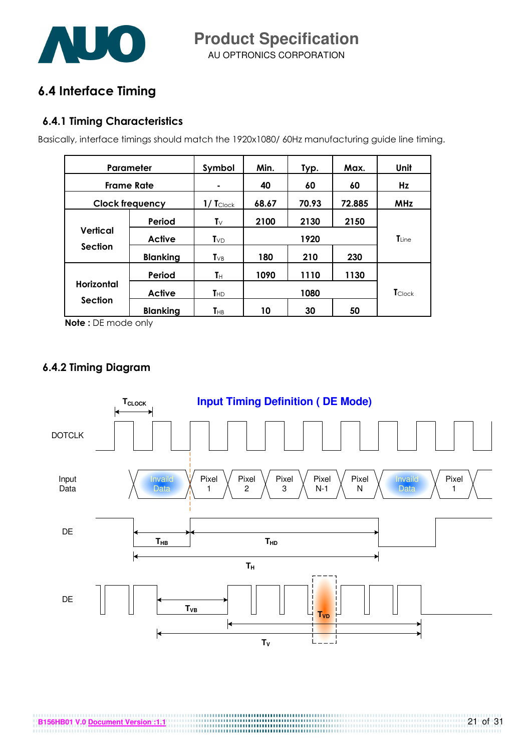

AU OPTRONICS CORPORATION **Product Specification** 

## 6.4 Interface Timing

#### 6.4.1 Timing Characteristics

Basically, interface timings should match the 1920x1080/ 60Hz manufacturing guide line timing.

| Parameter                         |                 | Symbol                  | Min.  | Typ.  | Max.   | Unit           |
|-----------------------------------|-----------------|-------------------------|-------|-------|--------|----------------|
| <b>Frame Rate</b>                 |                 | ۰                       | 40    | 60    | 60     | Hz             |
| <b>Clock frequency</b>            |                 | $1/$ $T_{\text{Clock}}$ | 68.67 | 70.93 | 72.885 | <b>MHz</b>     |
|                                   | Period          | $\mathsf{T}_\mathsf{V}$ | 2100  | 2130  | 2150   |                |
| <b>Vertical</b><br><b>Section</b> | <b>Active</b>   | $T_{VD}$                | 1920  |       |        | <b>T</b> Line  |
|                                   | <b>Blanking</b> | $T_{VB}$                | 180   | 210   | 230    |                |
|                                   | Period          | Tн                      | 1090  | 1110  | 1130   |                |
| <b>Horizontal</b>                 | <b>Active</b>   | <b>T</b> HD             |       | 1080  |        | <b>T</b> Clock |
| <b>Section</b>                    | <b>Blanking</b> | THB                     | 10    | 30    | 50     |                |

Note : DE mode only

#### 6.4.2 Timing Diagram

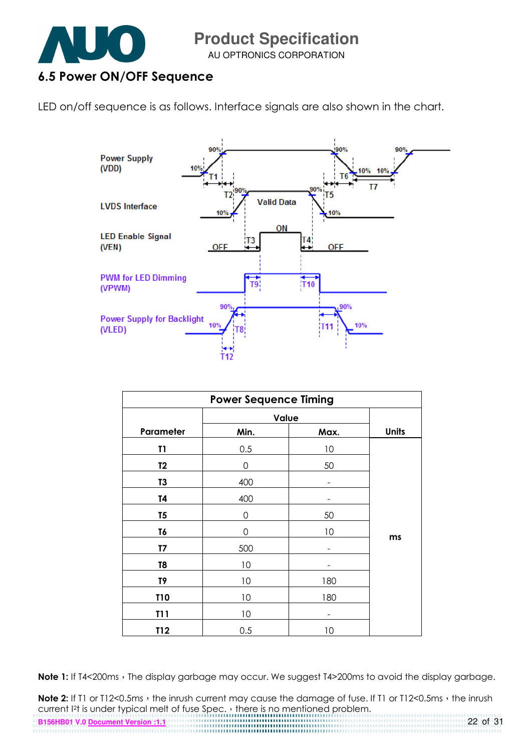

AU OPTRONICS CORPORATION

### 6.5 Power ON/OFF Sequence

LED on/off sequence is as follows. Interface signals are also shown in the chart.



| <b>Power Sequence Timing</b> |       |      |              |  |  |  |
|------------------------------|-------|------|--------------|--|--|--|
|                              | Value |      |              |  |  |  |
| Parameter                    | Min.  | Max. | <b>Units</b> |  |  |  |
| T1                           | 0.5   | 10   |              |  |  |  |
| T <sub>2</sub>               | 0     | 50   |              |  |  |  |
| T3                           | 400   |      |              |  |  |  |
| T4                           | 400   |      |              |  |  |  |
| T <sub>5</sub>               | 0     | 50   |              |  |  |  |
| T6                           | 0     | 10   |              |  |  |  |
| T7                           | 500   |      | ms           |  |  |  |
| T8                           | 10    |      |              |  |  |  |
| T9                           | 10    | 180  |              |  |  |  |
| <b>T10</b>                   | 10    | 180  |              |  |  |  |
| T11                          | 10    |      |              |  |  |  |
| T12                          | 0.5   | 10   |              |  |  |  |

Note 1: If T4<200ms, The display garbage may occur. We suggest T4>200ms to avoid the display garbage.

Note 2: If T1 or T12<0.5ms, the inrush current may cause the damage of fuse. If T1 or T12<0.5ms, the inrush current I<sup>2</sup>t is under typical melt of fuse Spec. there is no mentioned problem.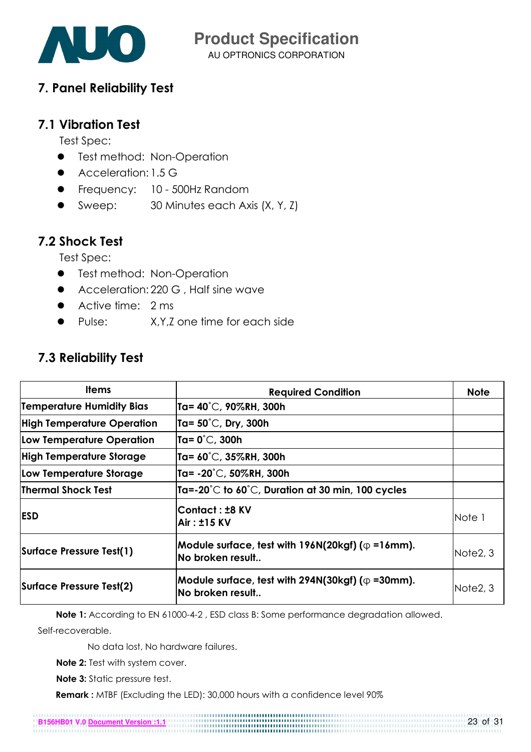

AU OPTRONICS CORPORATION **Product Specification** 

#### 7. Panel Reliability Test

#### 7.1 Vibration Test

Test Spec:

- **•** Test method: Non-Operation
- Acceleration: 1.5 G
- Frequency: 10 500Hz Random
- Sweep: 30 Minutes each Axis (X, Y, Z)

### 7.2 Shock Test

Test Spec:

- **•** Test method: Non-Operation
- **•** Acceleration: 220 G, Half sine wave
- Active time: 2 ms
- Pulse: X, Y, Z one time for each side

### 7.3 Reliability Test

| <b>Items</b>                      | <b>Required Condition</b>                                                    | <b>Note</b>           |
|-----------------------------------|------------------------------------------------------------------------------|-----------------------|
| Temperature Humidity Bias         | Ta= 40°C, 90%RH, 300h                                                        |                       |
| <b>High Temperature Operation</b> | Ta= $50^{\circ}$ C, Dry, 300h                                                |                       |
| <b>Low Temperature Operation</b>  | Ta= $0^{\circ}$ C, 300h                                                      |                       |
| <b>High Temperature Storage</b>   | Ta= $60^{\circ}$ C, 35%RH, 300h                                              |                       |
| Low Temperature Storage           | Ta= $-20^{\circ}$ C, 50%RH, 300h                                             |                       |
| <b>Thermal Shock Test</b>         | Ta=-20 $\degree$ C to 60 $\degree$ C, Duration at 30 min, 100 cycles         |                       |
| <b>ESD</b>                        | Contact : ±8 KV<br>Air: ±15 KV                                               | Note 1                |
| Surface Pressure Test(1)          | Module surface, test with $196N(20kgf)$ ( $\phi$ =16mm).<br>No broken result | Note <sub>2</sub> , 3 |
| Surface Pressure Test(2)          | Module surface, test with 294N(30kgf) ( $\phi$ =30mm).<br>No broken result   | Note <sub>2</sub> , 3 |

Note 1: According to EN 61000-4-2, ESD class B: Some performance degradation allowed.

Self-recoverable.

No data lost, No hardware failures.

Note 2: Test with system cover.

Note 3: Static pressure test.

Remark : MTBF (Excluding the LED): 30,000 hours with a confidence level 90%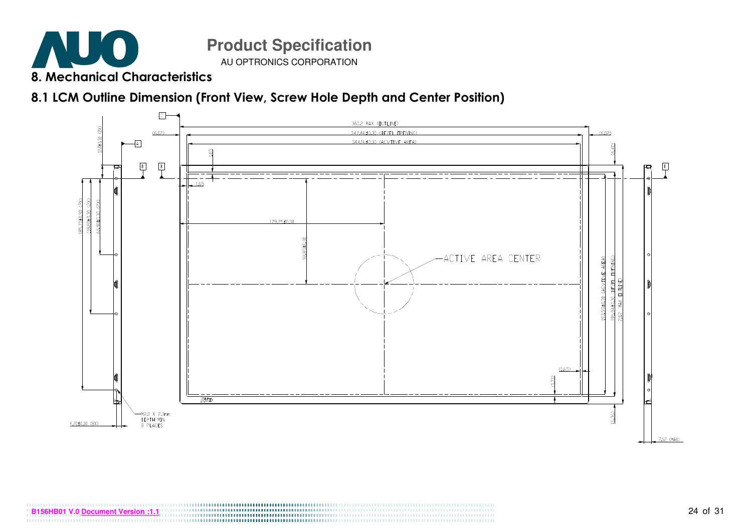

8.1 LCM Outline Dimension (Front View, Screw Hole Depth and Center Position)



**BO1 V.0 <u>Document Version :1.1</u>** 24 of 31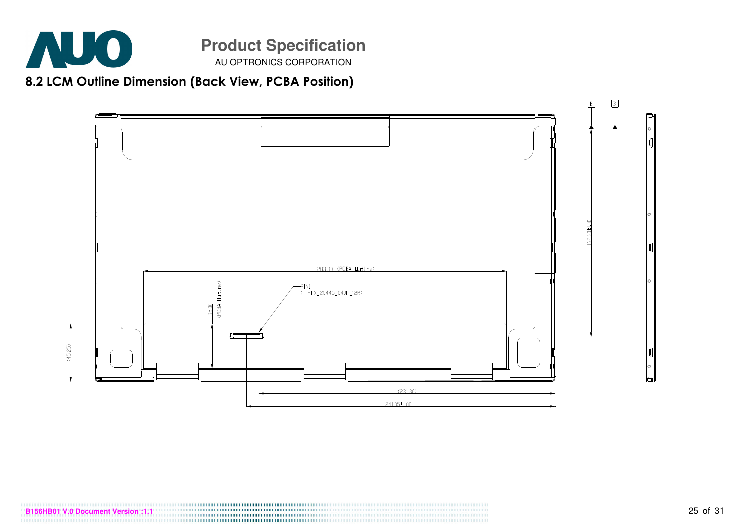

8.2 LCM Outline Dimension (Back View, PCBA Position)

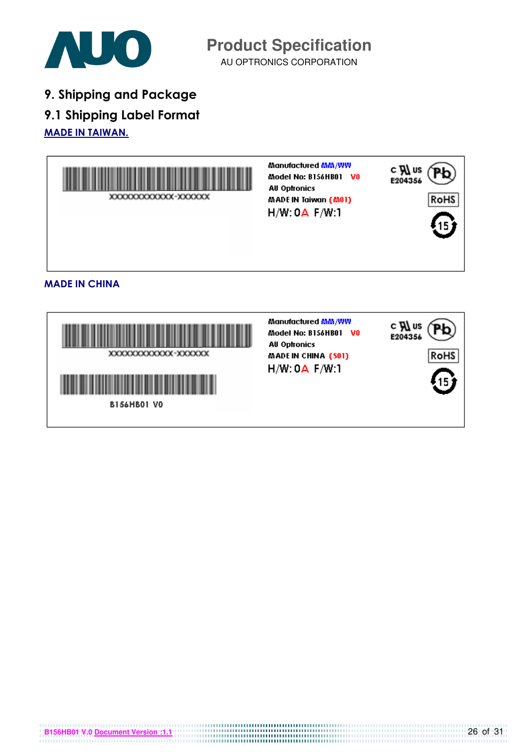

AU OPTRONICS CORPORATION **Product Specification** 

9. Shipping and Package

9.1 Shipping Label Format

MADE IN TAIWAN.



Manufactured MM/WW c **Al** us Pb Model No: B156HB01 V0 E204356 **AU Optronics** XXXXXXXXXXXX-XXXXXX MADE IN CHINA (S01) RoHS H/W: 0A F/W:1 **B156HB01 VO**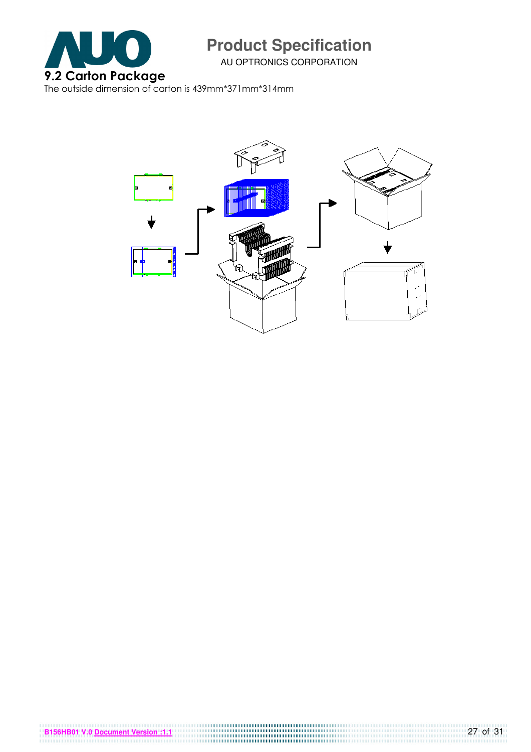

AU OPTRONICS CORPORATION

The outside dimension of carton is 439mm\*371mm\*314mm

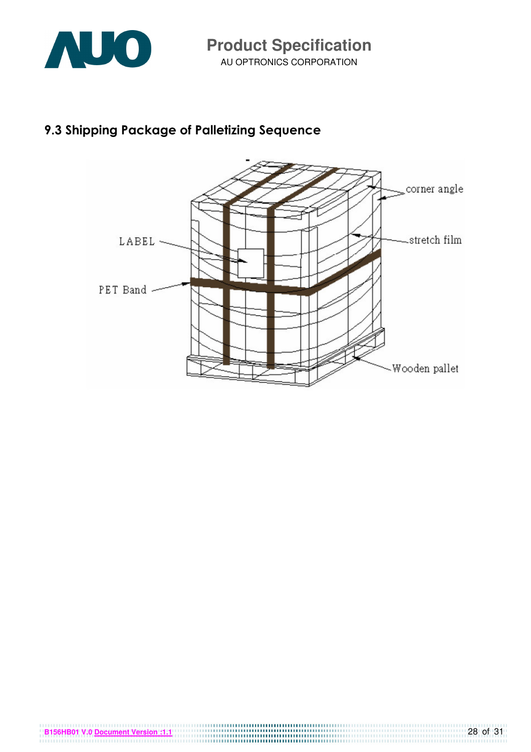

### 9.3 Shipping Package of Palletizing Sequence

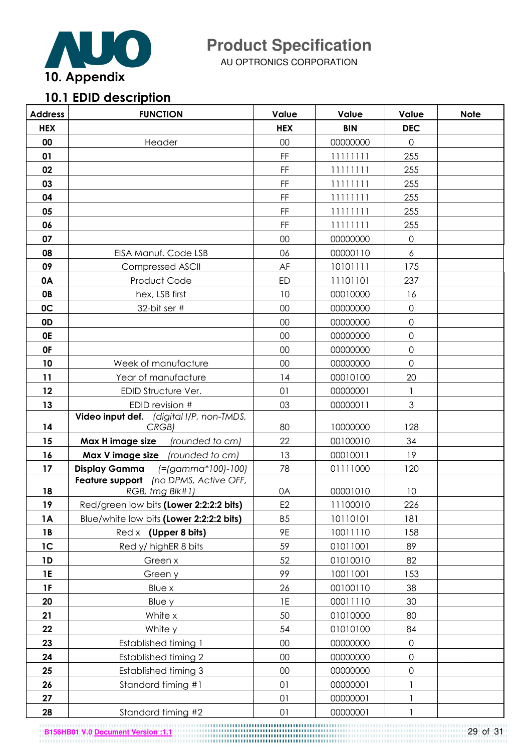

AU OPTRONICS CORPORATION

# 10.1 EDID description

| <b>Address</b> | <b>FUNCTION</b>                                                                     | Value                                                                                          | Value      | Value               | <b>Note</b> |
|----------------|-------------------------------------------------------------------------------------|------------------------------------------------------------------------------------------------|------------|---------------------|-------------|
| <b>HEX</b>     |                                                                                     | <b>HEX</b>                                                                                     | <b>BIN</b> | <b>DEC</b>          |             |
| 00             | Header                                                                              | 00                                                                                             | 00000000   | $\mathbf 0$         |             |
| 01             |                                                                                     | $\mathsf{FF}% _{0}\left( \mathcal{F}_{0}\right) =\mathsf{FF}_{0}\left( \mathcal{F}_{0}\right)$ | 11111111   | 255                 |             |
| 02             |                                                                                     | FF                                                                                             | 11111111   | 255                 |             |
| 03             |                                                                                     | $\mathsf{FF}% _{0}\left( \mathcal{F}_{0}\right) =\mathsf{FF}_{0}\left( \mathcal{F}_{0}\right)$ | 11111111   | 255                 |             |
| 04             |                                                                                     | FF                                                                                             | 11111111   | 255                 |             |
| 05             |                                                                                     | FF                                                                                             | 11111111   | 255                 |             |
| 06             |                                                                                     | FF                                                                                             | 11111111   | 255                 |             |
| 07             |                                                                                     | 00                                                                                             | 00000000   | $\mathsf{O}\xspace$ |             |
| 08             | EISA Manuf. Code LSB                                                                | 06                                                                                             | 00000110   | $\overline{6}$      |             |
| 09             | <b>Compressed ASCII</b>                                                             | AF                                                                                             | 10101111   | 175                 |             |
| 0A             | Product Code                                                                        | ED                                                                                             | 11101101   | 237                 |             |
| <b>OB</b>      | hex, LSB first                                                                      | 10                                                                                             | 00010000   | 16                  |             |
| 0C             | 32-bit ser #                                                                        | 00                                                                                             | 00000000   | $\mathsf{O}\xspace$ |             |
| 0D             |                                                                                     | 00                                                                                             | 00000000   | $\mathsf{O}\xspace$ |             |
| <b>OE</b>      |                                                                                     | 00                                                                                             | 00000000   | $\mathbf 0$         |             |
| 0F             |                                                                                     | 00                                                                                             | 00000000   | $\mathsf{O}\xspace$ |             |
| 10             | Week of manufacture                                                                 | 00                                                                                             | 00000000   | $\mathsf{O}\xspace$ |             |
| 11             | Year of manufacture                                                                 | 14                                                                                             | 00010100   | 20                  |             |
| 12             | EDID Structure Ver.                                                                 | 01                                                                                             | 00000001   | 1                   |             |
| 13             | EDID revision #                                                                     | 03                                                                                             | 00000011   | 3                   |             |
|                | Video input def. (digital I/P, non-TMDS,                                            |                                                                                                |            |                     |             |
| 14             | CRGB)                                                                               | 80                                                                                             | 10000000   | 128                 |             |
| 15             | Max H image size<br>(rounded to cm)                                                 | 22                                                                                             | 00100010   | 34                  |             |
| 16             | Max V image size (rounded to cm)                                                    | 13                                                                                             | 00010011   | 19                  |             |
| 17             | <b>Display Gamma</b><br>(=(gamma*100)-100)<br>Feature support (no DPMS, Active OFF, | 78                                                                                             | 01111000   | 120                 |             |
| 18             | RGB, tmg Blk#1)                                                                     | 0A                                                                                             | 00001010   | 10                  |             |
| 19             | Red/green low bits (Lower 2:2:2:2 bits)                                             | E <sub>2</sub>                                                                                 | 11100010   | 226                 |             |
| <b>1A</b>      | Blue/white low bits (Lower 2:2:2:2 bits)                                            | B <sub>5</sub>                                                                                 | 10110101   | 181                 |             |
| 1 <b>B</b>     | Red x (Upper 8 bits)                                                                | 9E                                                                                             | 10011110   | 158                 |             |
| 1 <sup>C</sup> | Red y/ highER 8 bits                                                                | 59                                                                                             | 01011001   | 89                  |             |
| 1D             | Green x                                                                             | 52                                                                                             | 01010010   | 82                  |             |
| <b>1E</b>      | Green y                                                                             | 99                                                                                             | 10011001   | 153                 |             |
| <b>1F</b>      | Blue x                                                                              | 26                                                                                             | 00100110   | 38                  |             |
| 20             | Blue y                                                                              | 1E                                                                                             | 00011110   | 30                  |             |
| 21             | White x                                                                             | 50                                                                                             | 01010000   | 80                  |             |
| 22             | White y                                                                             | 54                                                                                             | 01010100   | 84                  |             |
| 23             | <b>Established timing 1</b>                                                         | $00\,$                                                                                         | 00000000   | $\mathsf{O}\xspace$ |             |
| 24             | <b>Established timing 2</b>                                                         | 00                                                                                             | 00000000   | $\mathsf{O}\xspace$ |             |
| 25             | Established timing 3                                                                | 00                                                                                             | 00000000   | $\mathsf{O}\xspace$ |             |
| 26             | Standard timing #1                                                                  | 01                                                                                             | 00000001   |                     |             |
| 27             |                                                                                     | 01                                                                                             | 00000001   | 1                   |             |
| 28             | Standard timing #2                                                                  | 01                                                                                             | 00000001   | 1                   |             |

**B156HB01 V.0 Document Version :1.1** 29 of 31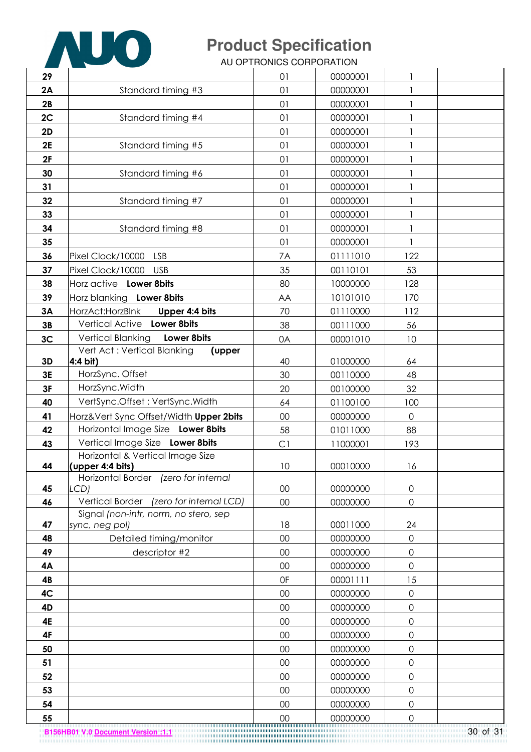

AU OPTRONICS CORPORATION

| 29       |                                                 | 01       | 00000001             | 1                   |          |
|----------|-------------------------------------------------|----------|----------------------|---------------------|----------|
| 2A       | Standard timing #3                              | 01       | 00000001             | $\mathbf{1}$        |          |
| 2B       |                                                 | 01       | 00000001             | $\mathbf{1}$        |          |
| 2C       | Standard timing #4                              | 01       | 00000001             |                     |          |
| 2D       |                                                 | 01       | 00000001             | $\mathbf{1}$        |          |
| 2E       | Standard timing #5                              | 01       | 00000001             |                     |          |
| 2F       |                                                 | 01       | 00000001             |                     |          |
| 30       | Standard timing #6                              | 01       | 00000001             |                     |          |
| 31       |                                                 | 01       | 00000001             |                     |          |
| 32       | Standard timing #7                              | 01       | 00000001             | 1                   |          |
| 33       |                                                 | 01       | 00000001             |                     |          |
| 34       | Standard timing #8                              | 01       | 00000001             |                     |          |
| 35       |                                                 | 01       | 00000001             | $\mathbf{1}$        |          |
| 36       | Pixel Clock/10000<br><b>LSB</b>                 | 7A       | 01111010             | 122                 |          |
| 37       | Pixel Clock/10000<br><b>USB</b>                 | 35       | 00110101             | 53                  |          |
| 38       | Horz active Lower 8bits                         | 80       | 10000000             | 128                 |          |
| 39       | Horz blanking Lower 8bits                       | AA       | 10101010             | 170                 |          |
| 3A       | HorzAct: HorzBlnk<br>Upper 4:4 bits             | 70       | 01110000             | 112                 |          |
| 3B       | Vertical Active Lower 8bits                     | 38       | 00111000             | 56                  |          |
| 3C       | Vertical Blanking<br>Lower 8bits                | 0A       | 00001010             | 10                  |          |
|          | Vert Act: Vertical Blanking<br>(upper           |          |                      |                     |          |
| 3D       | 4:4 bit)<br>HorzSync. Offset                    | 40       | 01000000             | 64                  |          |
| 3E<br>3F | HorzSync. Width                                 | 30<br>20 | 00110000<br>00100000 | 48<br>32            |          |
| 40       | VertSync.Offset: VertSync.Width                 |          | 01100100             |                     |          |
| 41       | Horz‖ Sync Offset/Width Upper 2bits             | 64<br>00 | 00000000             | 100<br>$\mathsf{O}$ |          |
| 42       | Horizontal Image Size Lower 8bits               | 58       | 01011000             | 88                  |          |
| 43       | Vertical Image Size Lower 8bits                 | C1       | 11000001             | 193                 |          |
|          | Horizontal & Vertical Image Size                |          |                      |                     |          |
| 44       | (upper 4:4 bits)                                | 10       | 00010000             | 16                  |          |
|          | Horizontal Border (zero for internal            |          |                      |                     |          |
| 45       | LCD)<br>Vertical Border (zero for internal LCD) | 00       | 00000000             | $\mathbf 0$         |          |
| 46       | Signal (non-intr, norm, no stero, sep           | 00       | 00000000             | 0                   |          |
| 47       | sync, neg pol)                                  | 18       | 00011000             | 24                  |          |
| 48       | Detailed timing/monitor                         | 00       | 00000000             | 0                   |          |
| 49       | descriptor #2                                   | 00       | 00000000             | 0                   |          |
| 4A       |                                                 | 00       | 00000000             | 0                   |          |
| 4B       |                                                 | 0F       | 00001111             | 15                  |          |
| 4C       |                                                 | 00       | 00000000             | 0                   |          |
| 4D       |                                                 | 00       | 00000000             | 0                   |          |
| 4E       |                                                 | 00       | 00000000             | 0                   |          |
| 4F       |                                                 | 00       | 00000000             | 0                   |          |
| 50       |                                                 | 00       | 00000000             | 0                   |          |
| 51       |                                                 | 00       | 00000000             | 0                   |          |
| 52       |                                                 | 00       | 00000000             | 0                   |          |
| 53       |                                                 | 00       | 00000000             | 0                   |          |
| 54       |                                                 | 00       | 00000000             | 0                   |          |
| 55       |                                                 | 00       | 00000000             | $\Omega$            |          |
|          | <b>B156HB01 V.0 Document Version:1.1</b>        |          |                      |                     | 30 of 31 |